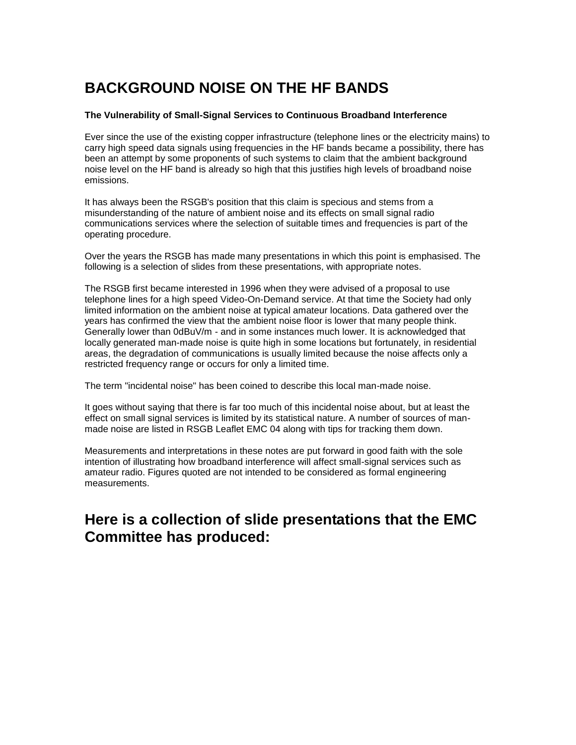# **BACKGROUND NOISE ON THE HF BANDS**

#### **The Vulnerability of Small-Signal Services to Continuous Broadband Interference**

Ever since the use of the existing copper infrastructure (telephone lines or the electricity mains) to carry high speed data signals using frequencies in the HF bands became a possibility, there has been an attempt by some proponents of such systems to claim that the ambient background noise level on the HF band is already so high that this justifies high levels of broadband noise emissions.

It has always been the RSGB's position that this claim is specious and stems from a misunderstanding of the nature of ambient noise and its effects on small signal radio communications services where the selection of suitable times and frequencies is part of the operating procedure.

Over the years the RSGB has made many presentations in which this point is emphasised. The following is a selection of slides from these presentations, with appropriate notes.

The RSGB first became interested in 1996 when they were advised of a proposal to use telephone lines for a high speed Video-On-Demand service. At that time the Society had only limited information on the ambient noise at typical amateur locations. Data gathered over the years has confirmed the view that the ambient noise floor is lower that many people think. Generally lower than 0dBuV/m - and in some instances much lower. It is acknowledged that locally generated man-made noise is quite high in some locations but fortunately, in residential areas, the degradation of communications is usually limited because the noise affects only a restricted frequency range or occurs for only a limited time.

The term "incidental noise" has been coined to describe this local man-made noise.

It goes without saying that there is far too much of this incidental noise about, but at least the effect on small signal services is limited by its statistical nature. A number of sources of manmade noise are listed in RSGB Leaflet EMC 04 along with tips for tracking them down.

Measurements and interpretations in these notes are put forward in good faith with the sole intention of illustrating how broadband interference will affect small-signal services such as amateur radio. Figures quoted are not intended to be considered as formal engineering measurements.

#### **Here is a collection of slide presentations that the EMC Committee has produced:**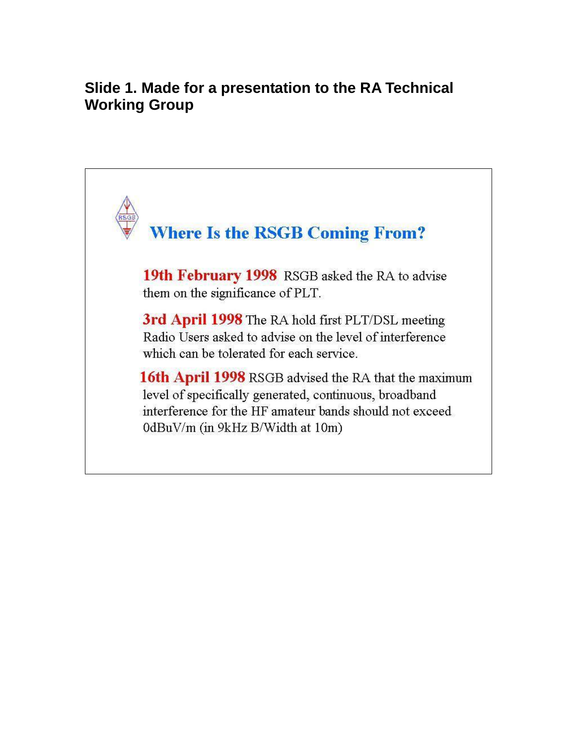# **Slide 1. Made for a presentation to the RA Technical Working Group**

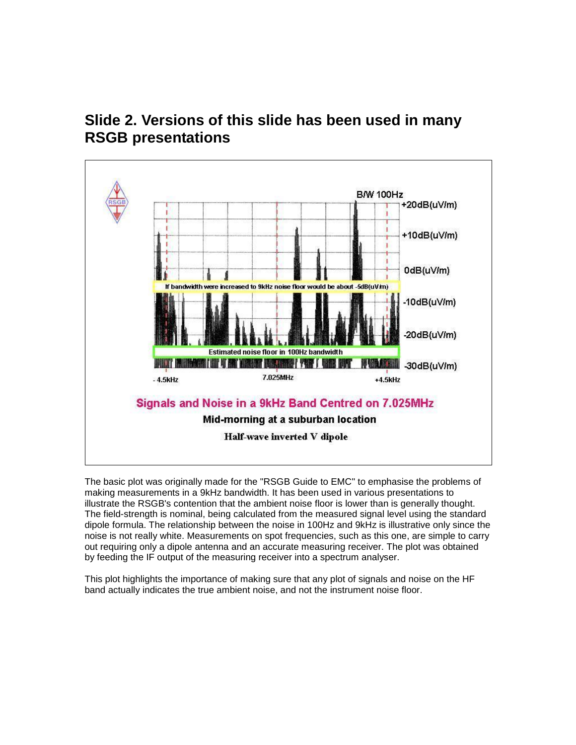



The basic plot was originally made for the "RSGB Guide to EMC" to emphasise the problems of making measurements in a 9kHz bandwidth. It has been used in various presentations to illustrate the RSGB's contention that the ambient noise floor is lower than is generally thought. The field-strength is nominal, being calculated from the measured signal level using the standard dipole formula. The relationship between the noise in 100Hz and 9kHz is illustrative only since the noise is not really white. Measurements on spot frequencies, such as this one, are simple to carry out requiring only a dipole antenna and an accurate measuring receiver. The plot was obtained by feeding the IF output of the measuring receiver into a spectrum analyser.

This plot highlights the importance of making sure that any plot of signals and noise on the HF band actually indicates the true ambient noise, and not the instrument noise floor.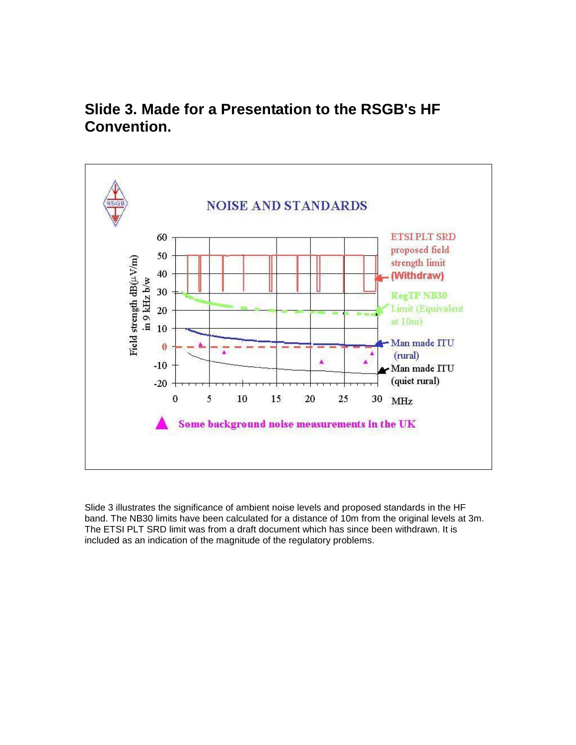

# **Slide 3. Made for a Presentation to the RSGB's HF Convention.**

Slide 3 illustrates the significance of ambient noise levels and proposed standards in the HF band. The NB30 limits have been calculated for a distance of 10m from the original levels at 3m. The ETSI PLT SRD limit was from a draft document which has since been withdrawn. It is included as an indication of the magnitude of the regulatory problems.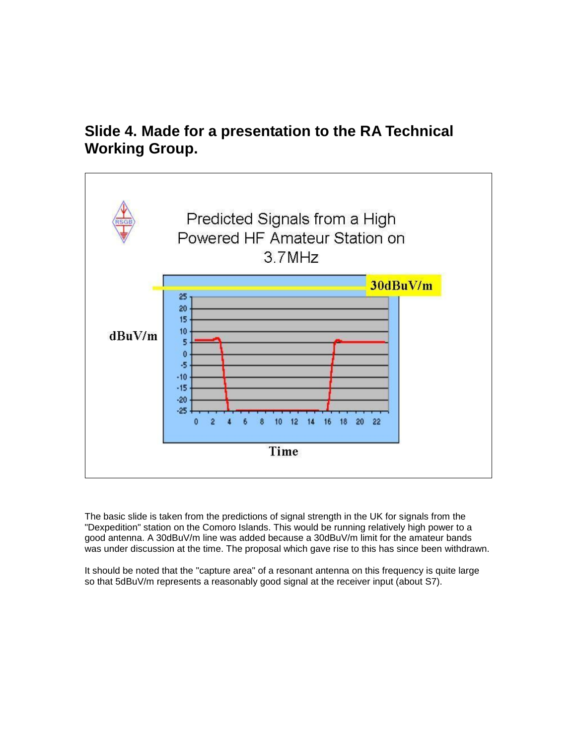### **Slide 4. Made for a presentation to the RA Technical Working Group.**



The basic slide is taken from the predictions of signal strength in the UK for signals from the "Dexpedition" station on the Comoro Islands. This would be running relatively high power to a good antenna. A 30dBuV/m line was added because a 30dBuV/m limit for the amateur bands was under discussion at the time. The proposal which gave rise to this has since been withdrawn.

It should be noted that the "capture area" of a resonant antenna on this frequency is quite large so that 5dBuV/m represents a reasonably good signal at the receiver input (about S7).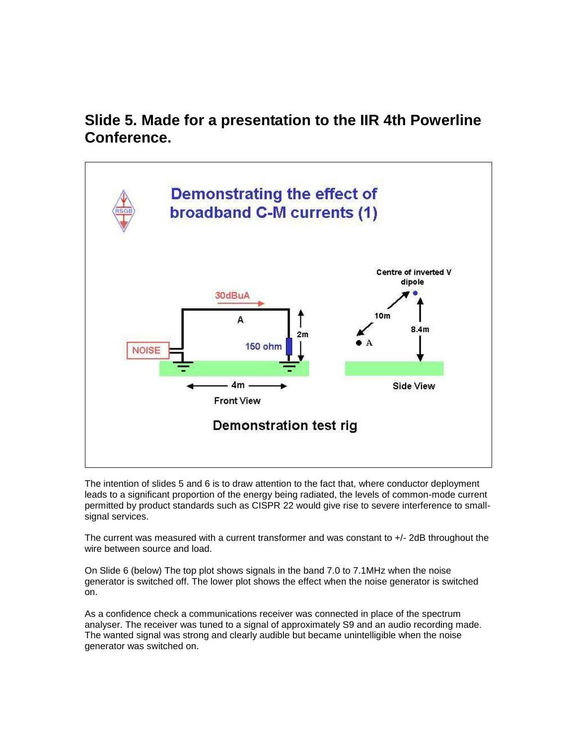### **Slide 5. Made for a presentation to the IIR 4th Powerline Conference.**



The intention of slides 5 and 6 is to draw attention to the fact that, where conductor deployment leads to a significant proportion of the energy being radiated, the levels of common-mode current permitted by product standards such as CISPR 22 would give rise to severe interference to smallsignal services.

The current was measured with a current transformer and was constant to +/- 2dB throughout the wire between source and load.

On Slide 6 (below) The top plot shows signals in the band 7.0 to 7.1MHz when the noise generator is switched off. The lower plot shows the effect when the noise generator is switched on.

As a confidence check a communications receiver was connected in place of the spectrum analyser. The receiver was tuned to a signal of approximately S9 and an audio recording made. The wanted signal was strong and clearly audible but became unintelligible when the noise generator was switched on.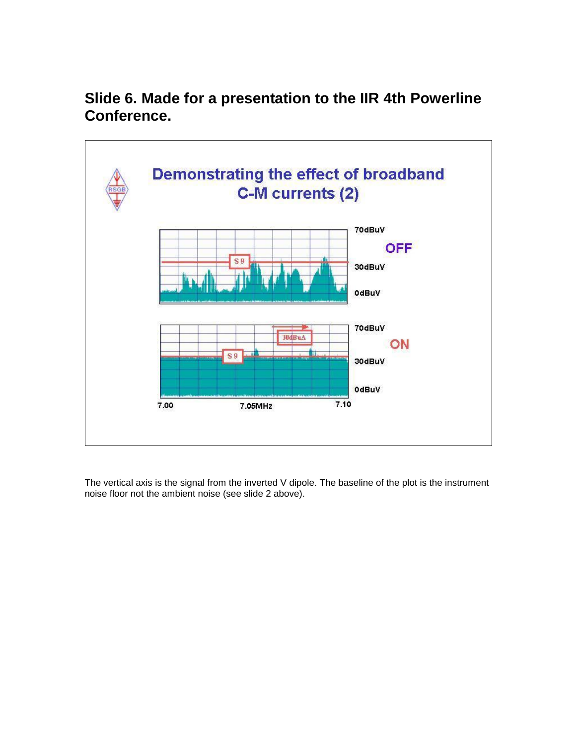## **Slide 6. Made for a presentation to the IIR 4th Powerline Conference.**



The vertical axis is the signal from the inverted V dipole. The baseline of the plot is the instrument noise floor not the ambient noise (see slide 2 above).